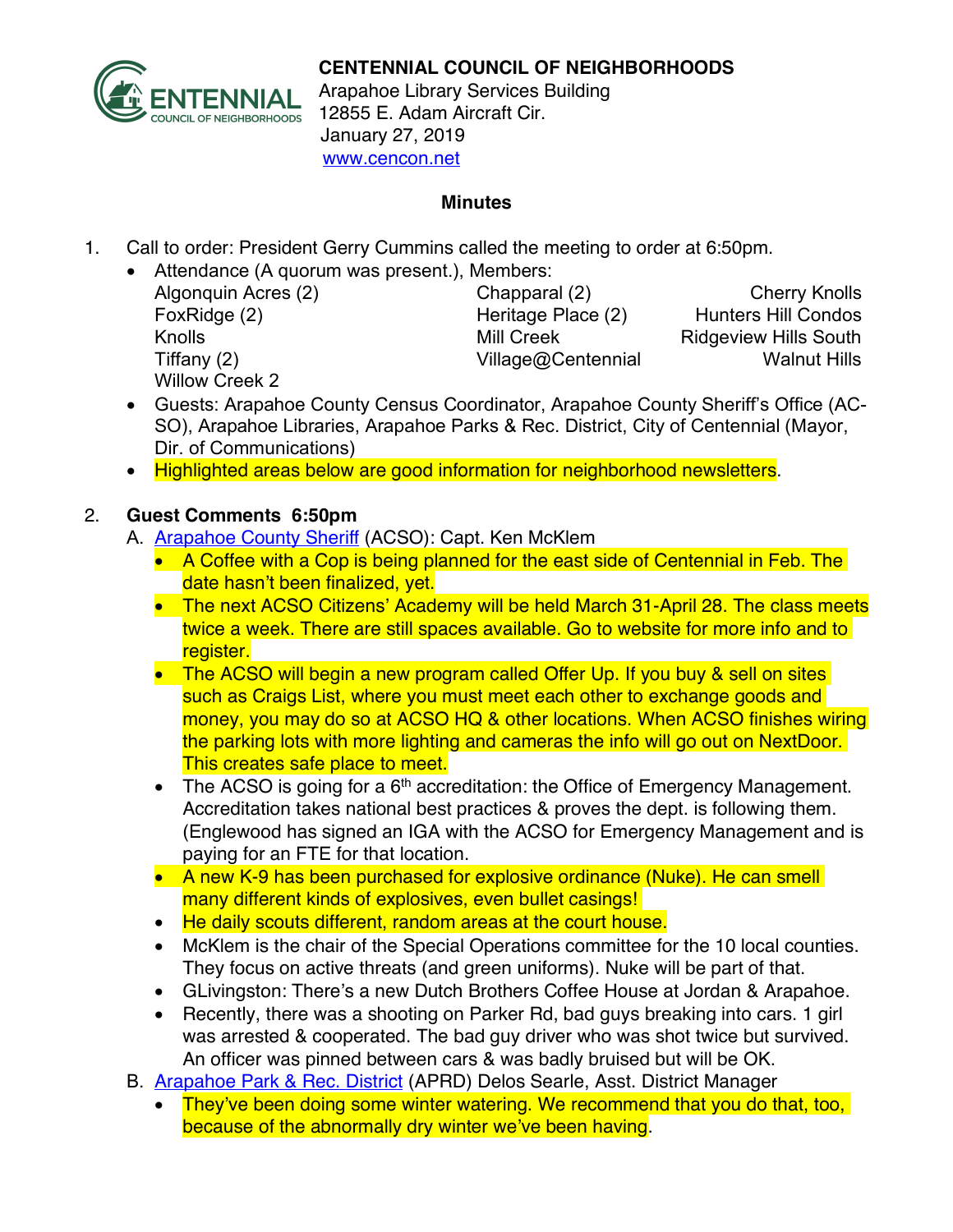

Arapahoe Library Services Building 12855 E. Adam Aircraft Cir. January 27, 2019 www.cencon.net

## **Minutes**

- 1. Call to order: President Gerry Cummins called the meeting to order at 6:50pm.
	- Attendance (A quorum was present.), Members:
		- Willow Creek 2

Algonquin Acres (2) Chapparal (2) Cherry Knolls FoxRidge (2) The Heritage Place (2) Hunters Hill Condos Knolls **Mill Creek** Ridgeview Hills South Tiffany (2) Tiffany (2) **Village@Centennial** Walnut Hills

- Guests: Arapahoe County Census Coordinator, Arapahoe County Sheriff's Office (AC-SO), Arapahoe Libraries, Arapahoe Parks & Rec. District, City of Centennial (Mayor, Dir. of Communications)
- Highlighted areas below are good information for neighborhood newsletters.

## 2. **Guest Comments 6:50pm**

- A. **[Arapahoe County Sheriff](http://www.arapahoesheriff.org/) (ACSO): Capt. Ken McKlem** 
	- A Coffee with a Cop is being planned for the east side of Centennial in Feb. The date hasn't been finalized, yet.
	- The next ACSO Citizens' Academy will be held March 31-April 28. The class meets twice a week. There are still spaces available. Go to website for more info and to register.
	- The ACSO will begin a new program called Offer Up. If you buy & sell on sites such as Craigs List, where you must meet each other to exchange goods and money, you may do so at ACSO HQ & other locations. When ACSO finishes wiring the parking lots with more lighting and cameras the info will go out on NextDoor. This creates safe place to meet.
	- The ACSO is going for a  $6<sup>th</sup>$  accreditation: the Office of Emergency Management. Accreditation takes national best practices & proves the dept. is following them. (Englewood has signed an IGA with the ACSO for Emergency Management and is paying for an FTE for that location.
	- A new K-9 has been purchased for explosive ordinance (Nuke). He can smell many different kinds of explosives, even bullet casings!
	- He daily scouts different, random areas at the court house.
	- McKlem is the chair of the Special Operations committee for the 10 local counties. They focus on active threats (and green uniforms). Nuke will be part of that.
	- GLivingston: There's a new Dutch Brothers Coffee House at Jordan & Arapahoe.
	- Recently, there was a shooting on Parker Rd, bad guys breaking into cars. 1 girl was arrested & cooperated. The bad guy driver who was shot twice but survived. An officer was pinned between cars & was badly bruised but will be OK.
- B. **[Arapahoe Park & Rec. District](http://www.aprd.org/)** (APRD) Delos Searle, Asst. District Manager
	- They've been doing some winter watering. We recommend that you do that, too, because of the abnormally dry winter we've been having.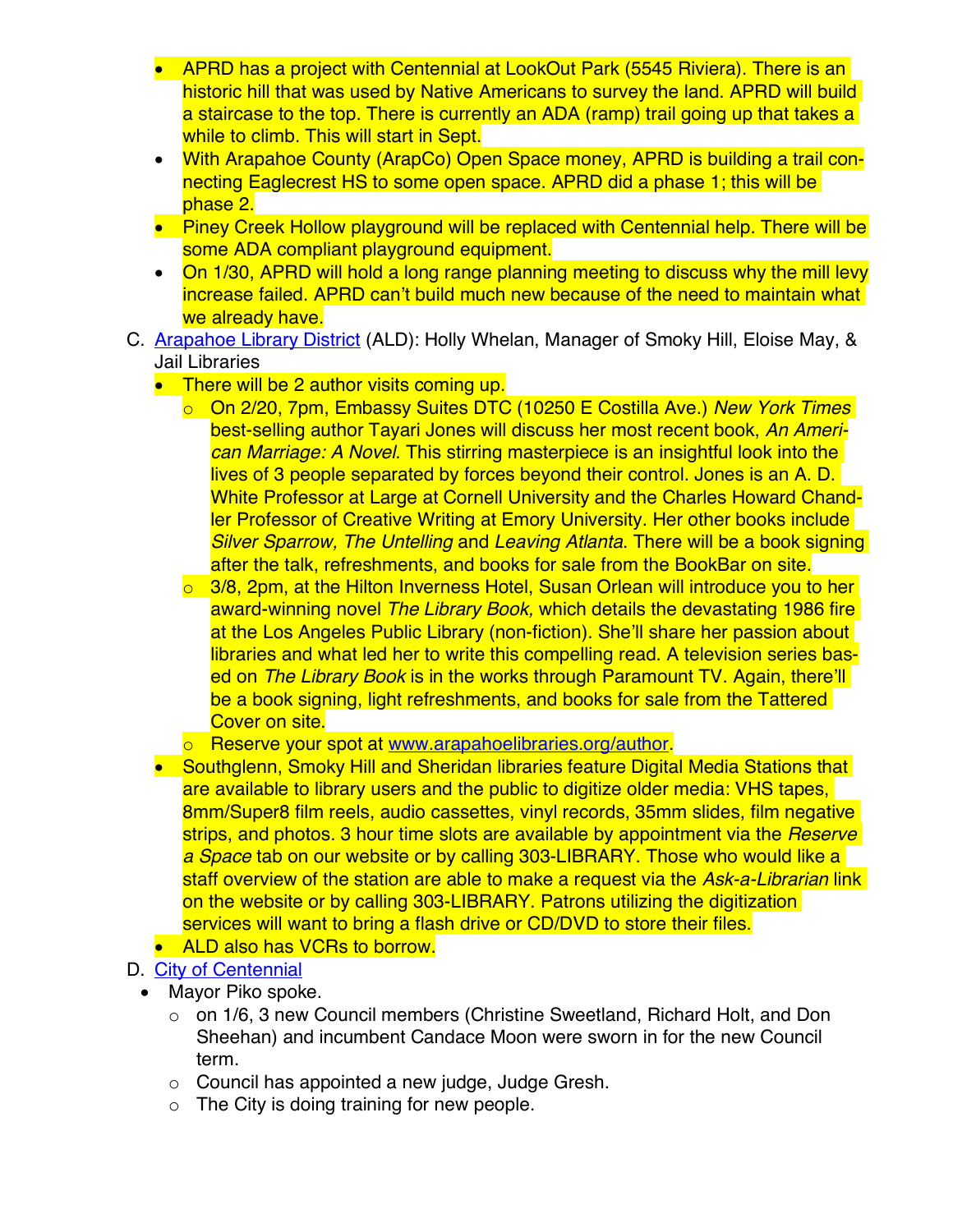- APRD has a project with Centennial at LookOut Park (5545 Riviera). There is an historic hill that was used by Native Americans to survey the land. APRD will build a staircase to the top. There is currently an ADA (ramp) trail going up that takes a while to climb. This will start in Sept.
- With Arapahoe County (ArapCo) Open Space money, APRD is building a trail connecting Eaglecrest HS to some open space. APRD did a phase 1; this will be phase 2.
- Piney Creek Hollow playground will be replaced with Centennial help. There will be some ADA compliant playground equipment.
- On 1/30, APRD will hold a long range planning meeting to discuss why the mill levy increase failed. APRD can't build much new because of the need to maintain what we already have.
- C. [Arapahoe Library District](http://www.arapahoelibraries.org/) (ALD): Holly Whelan, Manager of Smoky Hill, Eloise May, & Jail Libraries
	- There will be 2 author visits coming up.
		- o On 2/20, 7pm, Embassy Suites DTC (10250 E Costilla Ave.) *New York Times* best-selling author Tayari Jones will discuss her most recent book, *An American Marriage: A Novel*. This stirring masterpiece is an insightful look into the lives of 3 people separated by forces beyond their control. Jones is an A. D. White Professor at Large at Cornell University and the Charles Howard Chandler Professor of Creative Writing at Emory University. Her other books include *Silver Sparrow, The Untelling* and *Leaving Atlanta*. There will be a book signing after the talk, refreshments, and books for sale from the BookBar on site.
		- $\circ$  3/8, 2pm, at the Hilton Inverness Hotel, Susan Orlean will introduce you to her award-winning novel *The Library Book,* which details the devastating 1986 fire at the Los Angeles Public Library (non-fiction). She'll share her passion about libraries and what led her to write this compelling read. A television series based on *The Library Book* is in the works through Paramount TV. Again, there'll be a book signing, light refreshments, and books for sale from the Tattered Cover on site.
		- o Reserve your spot at www.arapahoelibraries.org/author.
	- Southglenn, Smoky Hill and Sheridan libraries feature Digital Media Stations that are available to library users and the public to digitize older media: VHS tapes, 8mm/Super8 film reels, audio cassettes, vinyl records, 35mm slides, film negative strips, and photos. 3 hour time slots are available by appointment via the *Reserve a Space* tab on our website or by calling 303-LIBRARY. Those who would like a staff overview of the station are able to make a request via the *Ask-a-Librarian* link on the website or by calling 303-LIBRARY. Patrons utilizing the digitization services will want to bring a flash drive or CD/DVD to store their files.
	- ALD also has VCRs to borrow.
- D. [City of Centennial](http://www.centennialco.gov/)
	- Mayor Piko spoke.
		- o on 1/6, 3 new Council members (Christine Sweetland, Richard Holt, and Don Sheehan) and incumbent Candace Moon were sworn in for the new Council term.
		- o Council has appointed a new judge, Judge Gresh.
		- $\circ$  The City is doing training for new people.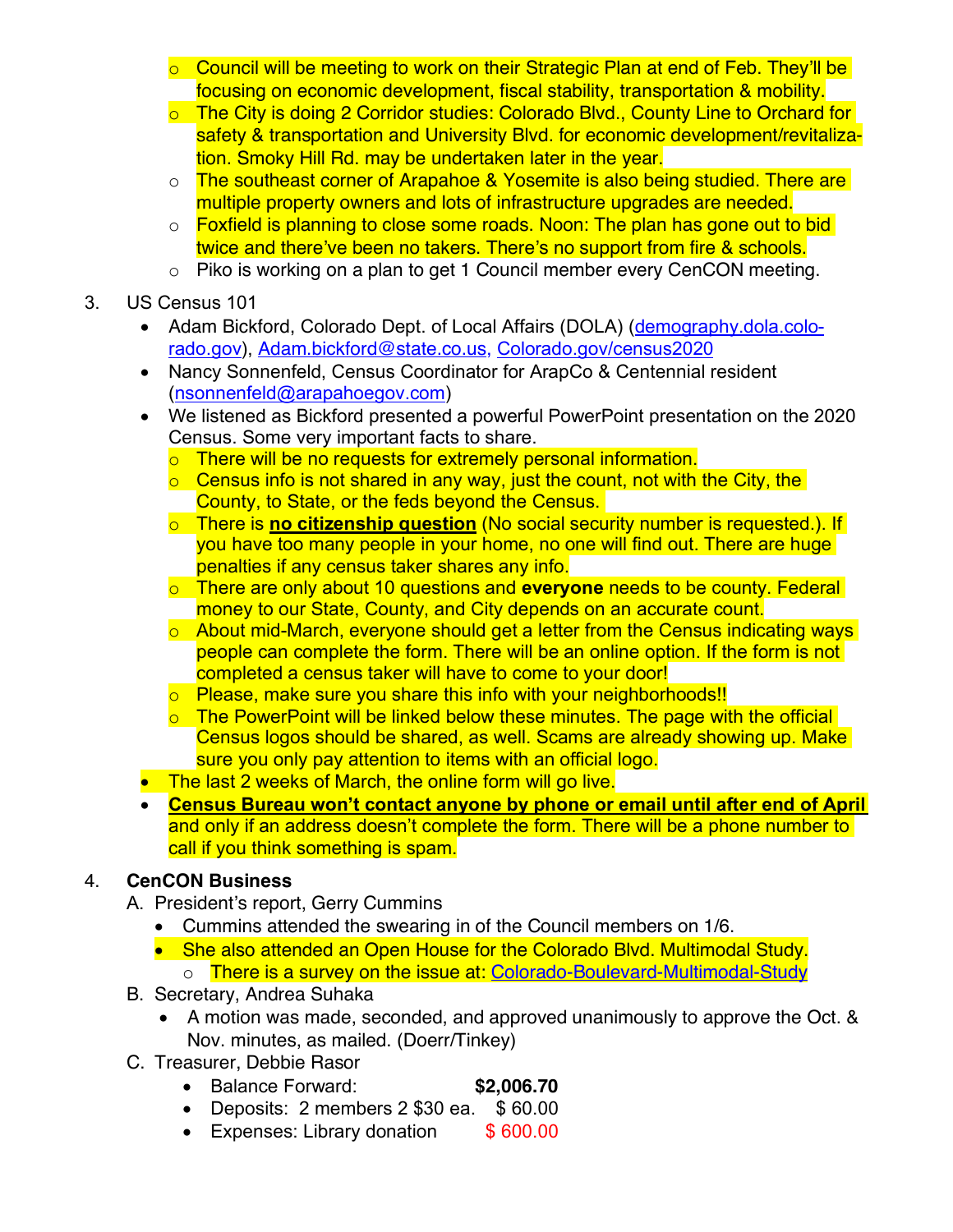- $\circ$  Council will be meeting to work on their Strategic Plan at end of Feb. They'll be focusing on economic development, fiscal stability, transportation & mobility.
- o The City is doing 2 Corridor studies: Colorado Blvd., County Line to Orchard for safety & transportation and University Blvd. for economic development/revitalization. Smoky Hill Rd. may be undertaken later in the year.
- o The southeast corner of Arapahoe & Yosemite is also being studied. There are multiple property owners and lots of infrastructure upgrades are needed.
- o Foxfield is planning to close some roads. Noon: The plan has gone out to bid twice and there've been no takers. There's no support from fire & schools.
- o Piko is working on a plan to get 1 Council member every CenCON meeting.
- 3. US Census 101
	- Adam Bickford, Colorado Dept. of Local Affairs (DOLA) ([demography.dola.colo](https://demography.dola.colorado.gov/)[rado.gov\)](https://demography.dola.colorado.gov/), [Adam.bickford@state.co.us,](mailto:Adam.bickford@state.co.us) [Colorado.gov/census2020](https://colorado.gov/colorado-census-2020)
	- Nancy Sonnenfeld, Census Coordinator for ArapCo & Centennial resident ([nsonnenfeld@arapahoegov.com](mailto:nsonnenfeld@arapahoegov.com))
	- We listened as Bickford presented a powerful PowerPoint presentation on the 2020 Census. Some very important facts to share.
		- o There will be no requests for extremely personal information.
		- $\circ$  Census info is not shared in any way, just the count, not with the City, the County, to State, or the feds beyond the Census.
		- o There is **no citizenship question** (No social security number is requested.). If you have too many people in your home, no one will find out. There are huge penalties if any census taker shares any info.
		- o There are only about 10 questions and **everyone** needs to be county. Federal money to our State, County, and City depends on an accurate count.
		- $\circ$  About mid-March, everyone should get a letter from the Census indicating ways people can complete the form. There will be an online option. If the form is not completed a census taker will have to come to your door!
		- o Please, make sure you share this info with your neighborhoods!!
		- $\circ$  The PowerPoint will be linked below these minutes. The page with the official Census logos should be shared, as well. Scams are already showing up. Make sure you only pay attention to items with an official logo.
	- The last 2 weeks of March, the online form will go live.
	- **Census Bureau won't contact anyone by phone or email until after end of April** and only if an address doesn't complete the form. There will be a phone number to call if you think something is spam.

## 4. **CenCON Business**

- A. President's report, Gerry Cummins
	- Cummins attended the swearing in of the Council members on 1/6.
	- She also attended an Open House for the Colorado Blvd. Multimodal Study. o There is a survey on the issue at: [Colorado-Boulevard-Multimodal-Study](http://www.centennialco.gov/Colorado-Boulevard-Multimodal-Study)
- B. Secretary, Andrea Suhaka
	- A motion was made, seconded, and approved unanimously to approve the Oct. & Nov. minutes, as mailed. (Doerr/Tinkey)
- C. Treasurer, Debbie Rasor
	- Balance Forward: **\$2,006.70**
	- Deposits: 2 members 2 \$30 ea. \$ 60.00
	- Expenses: Library donation \$ 600.00